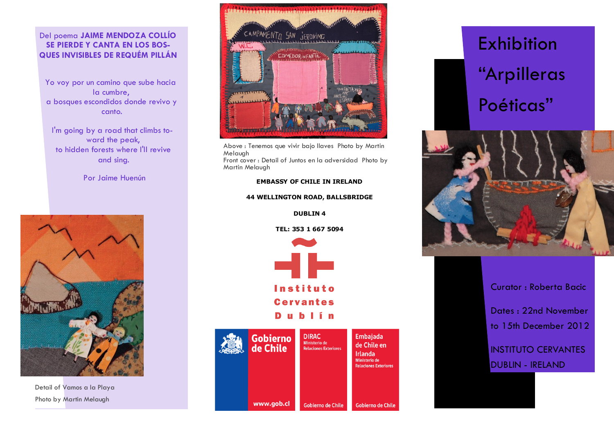## Del poema **JAIME MENDOZA COLLÍO SE PIERDE Y CANTA EN LOS BOS-QUES INVISIBLES DE REQUÉM PILLÁN**

Yo voy por un camino que sube hacia la cumbre, a bosques escondidos donde revivo y canto.

I'm going by a road that climbs toward the peak, to hidden forests where I'll revive and sing.

Por Jaime Huenún



Detail of Vamos a la Playa Photo by Martin Melaugh



Above : Tenemos que vivir bajo llaves Photo by Martin Melaugh

Front cover : Detail of Juntos en la adversidad Photo by Martin Melaugh

#### **EMBASSY OF CHILE IN IRELAND**

#### **44 WELLINGTON ROAD, BALLSBRIDGE**

**DUBLIN 4**

**TEL: 353 1 667 5094**





# Exhibition "Arpilleras Poéticas"



Curator : Roberta Bacic

Dates : 22nd November to 15th December 2012

INSTITUTO CERVANTES DUBLIN - IRELAND